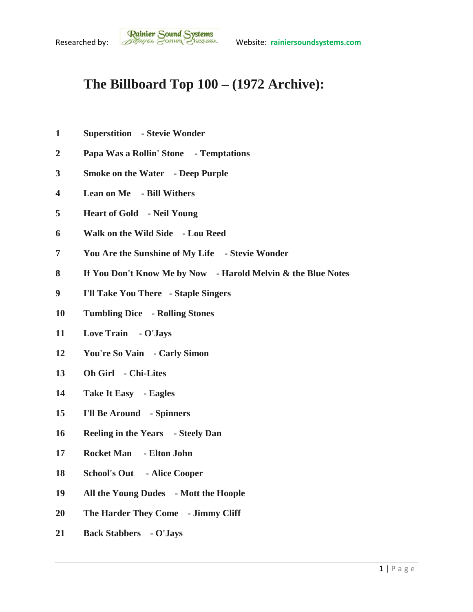## **The Billboard Top 100 – (1972 Archive):**

- **Superstition - Stevie Wonder**
- **Papa Was a Rollin' Stone - Temptations**
- **Smoke on the Water - Deep Purple**
- **Lean on Me - Bill Withers**
- **Heart of Gold - Neil Young**
- **Walk on the Wild Side - Lou Reed**
- **You Are the Sunshine of My Life - Stevie Wonder**
- **If You Don't Know Me by Now - Harold Melvin & the Blue Notes**
- **I'll Take You There - Staple Singers**
- **Tumbling Dice - Rolling Stones**
- **Love Train - O'Jays**
- **You're So Vain - Carly Simon**
- **Oh Girl - Chi-Lites**
- **Take It Easy - Eagles**
- **I'll Be Around - Spinners**
- **Reeling in the Years - Steely Dan**
- **Rocket Man - Elton John**
- **School's Out - Alice Cooper**
- **All the Young Dudes - Mott the Hoople**
- **The Harder They Come - Jimmy Cliff**
- **Back Stabbers - O'Jays**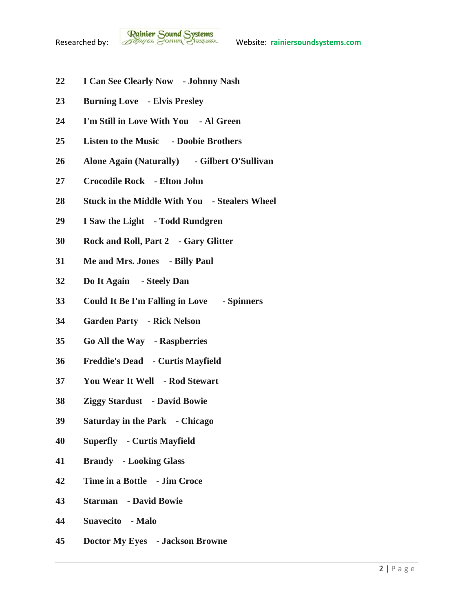- **I Can See Clearly Now - Johnny Nash**
- **Burning Love - Elvis Presley**
- **I'm Still in Love With You - Al Green**
- **Listen to the Music - Doobie Brothers**
- **Alone Again (Naturally) - Gilbert O'Sullivan**
- **Crocodile Rock - Elton John**
- **Stuck in the Middle With You - Stealers Wheel**
- **I Saw the Light - Todd Rundgren**
- **Rock and Roll, Part 2 - Gary Glitter**
- **Me and Mrs. Jones - Billy Paul**
- **Do It Again - Steely Dan**
- **Could It Be I'm Falling in Love - Spinners**
- **Garden Party - Rick Nelson**
- **Go All the Way - Raspberries**
- **Freddie's Dead - Curtis Mayfield**
- **You Wear It Well - Rod Stewart**
- **Ziggy Stardust - David Bowie**
- **Saturday in the Park - Chicago**
- **Superfly - Curtis Mayfield**
- **Brandy - Looking Glass**
- **Time in a Bottle - Jim Croce**
- **Starman - David Bowie**
- **Suavecito - Malo**
- **Doctor My Eyes - Jackson Browne**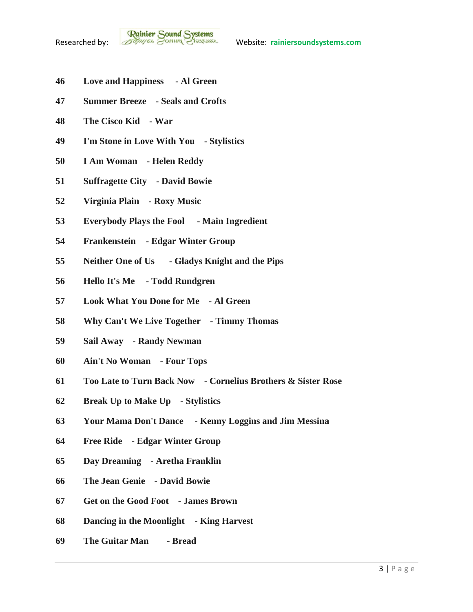- **Love and Happiness - Al Green**
- **Summer Breeze - Seals and Crofts**
- **The Cisco Kid - War**
- **I'm Stone in Love With You - Stylistics**
- **I Am Woman - Helen Reddy**
- **Suffragette City - David Bowie**
- **Virginia Plain - Roxy Music**
- **Everybody Plays the Fool - Main Ingredient**
- **Frankenstein - Edgar Winter Group**
- **Neither One of Us - Gladys Knight and the Pips**
- **Hello It's Me - Todd Rundgren**
- **Look What You Done for Me - Al Green**
- **Why Can't We Live Together - Timmy Thomas**
- **Sail Away - Randy Newman**
- **Ain't No Woman - Four Tops**
- **Too Late to Turn Back Now - Cornelius Brothers & Sister Rose**
- **Break Up to Make Up - Stylistics**
- **Your Mama Don't Dance - Kenny Loggins and Jim Messina**
- **Free Ride - Edgar Winter Group**
- **Day Dreaming - Aretha Franklin**
- **The Jean Genie - David Bowie**
- **Get on the Good Foot - James Brown**
- **Dancing in the Moonlight - King Harvest**
- **The Guitar Man - Bread**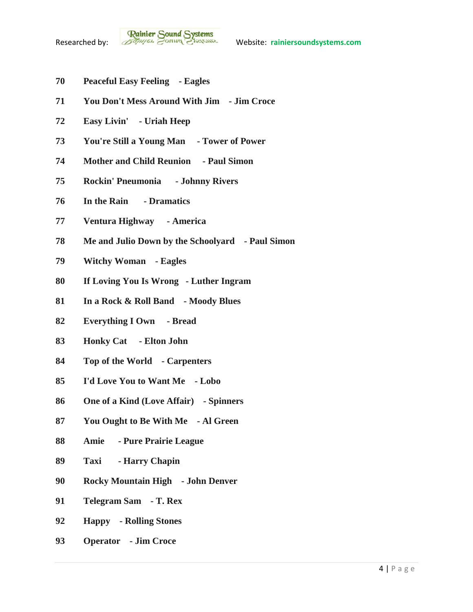- **Peaceful Easy Feeling - Eagles**
- **You Don't Mess Around With Jim - Jim Croce**
- **Easy Livin' - Uriah Heep**
- **You're Still a Young Man - Tower of Power**
- **Mother and Child Reunion - Paul Simon**
- **Rockin' Pneumonia - Johnny Rivers**
- **In the Rain - Dramatics**
- **Ventura Highway - America**
- **Me and Julio Down by the Schoolyard - Paul Simon**
- **Witchy Woman - Eagles**
- **If Loving You Is Wrong - Luther Ingram**
- **In a Rock & Roll Band - Moody Blues**
- **Everything I Own - Bread**
- **Honky Cat - Elton John**
- **Top of the World - Carpenters**
- **I'd Love You to Want Me - Lobo**
- **One of a Kind (Love Affair) - Spinners**
- **You Ought to Be With Me - Al Green**
- **Amie - Pure Prairie League**
- **Taxi - Harry Chapin**
- **Rocky Mountain High - John Denver**
- **Telegram Sam - T. Rex**
- **Happy - Rolling Stones**
- **Operator - Jim Croce**